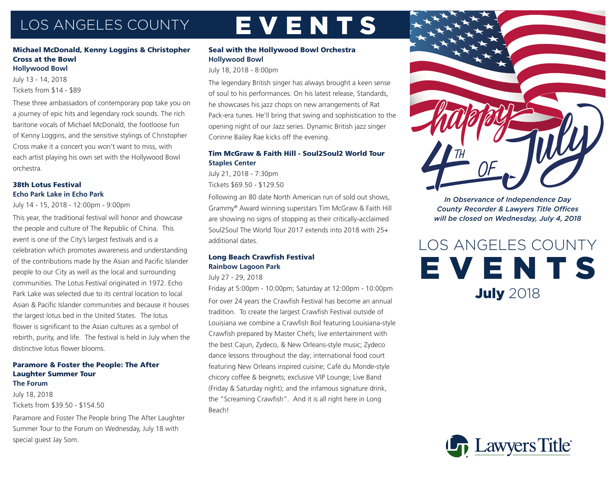## LOS ANGELES COUNTY EVENTS

#### Michael McDonald, Kenny Loggins & Christopher Cross at the Bowl **Hollywood Bowl** July 13 - 14, 2018

Tickets from \$14 - \$89

These three ambassadors of contemporary pop take you on a journey of epic hits and legendary rock sounds. The rich baritone vocals of Michael McDonald, the footloose fun of Kenny Loggins, and the sensitive stylings of Christopher Cross make it a concert you won't want to miss, with each artist playing his own set with the Hollywood Bowl orchestra.

#### 38th Lotus Festival **Echo Park Lake in Echo Park**

July 14 - 15, 2018 - 12:00pm - 9:00pm

This year, the traditional festival will honor and showcase the people and culture of The Republic of China. This event is one of the City's largest festivals and is a celebration which promotes awareness and understanding of the contributions made by the Asian and Pacific Islander people to our City as well as the local and surrounding communities. The Lotus Festival originated in 1972. Echo Park Lake was selected due to its central location to local Asian & Pacific Islander communities and because it houses the largest lotus bed in the United States. The lotus flower is significant to the Asian cultures as a symbol of rebirth, purity, and life. The festival is held in July when the distinctive lotus flower blooms.

#### Paramore & Foster the People: The After Laughter Summer Tour **The Forum**

July 18, 2018 Tickets from \$39.50 - \$154.50

Paramore and Foster The People bring The After Laughter Summer Tour to the Forum on Wednesday, July 18 with special guest Jay Som.

#### Seal with the Hollywood Bowl Orchestra **Hollywood Bowl**

July 18, 2018 - 8:00pm

The legendary British singer has always brought a keen sense of soul to his performances. On his latest release, Standards, he showcases his jazz chops on new arrangements of Rat Pack-era tunes. He'll bring that swing and sophistication to the opening night of our Jazz series. Dynamic British jazz singer Corinne Bailey Rae kicks off the evening.

#### Tim McGraw & Faith Hill - Soul2Soul2 World Tour **Staples Center**

July 21, 2018 - 7:30pm Tickets \$69.50 - \$129.50

Following an 80 date North American run of sold out shows, Grammy® Award winning superstars Tim McGraw & Faith Hill are showing no signs of stopping as their critically-acclaimed Soul2Soul The World Tour 2017 extends into 2018 with 25+ additional dates.

### Long Beach Crawfish Festival **Rainbow Lagoon Park**

July 27 - 29, 2018

Friday at 5:00pm - 10:00pm; Saturday at 12:00pm - 10:00pm For over 24 years the Crawfish Festival has become an annual tradition. To create the largest Crawfish Festival outside of Louisiana we combine a Crawfish Boil featuring Louisiana-style Crawfish prepared by Master Chefs; live entertainment with the best Cajun, Zydeco, & New Orleans-style music; Zydeco dance lessons throughout the day; international food court featuring New Orleans inspired cuisine; Café du Monde-style chicory coffee & beignets; exclusive VIP Lounge; Live Band (Friday & Saturday night); and the infamous signature drink, the "Screaming Crawfish". And it is all right here in Long Beach!



*In Observance of Independence Day County Recorder & Lawyers Title Offices will be closed on Wednesday, July 4, 2018*

LOS ANGELES COUNTY EVENTS **July 2018**